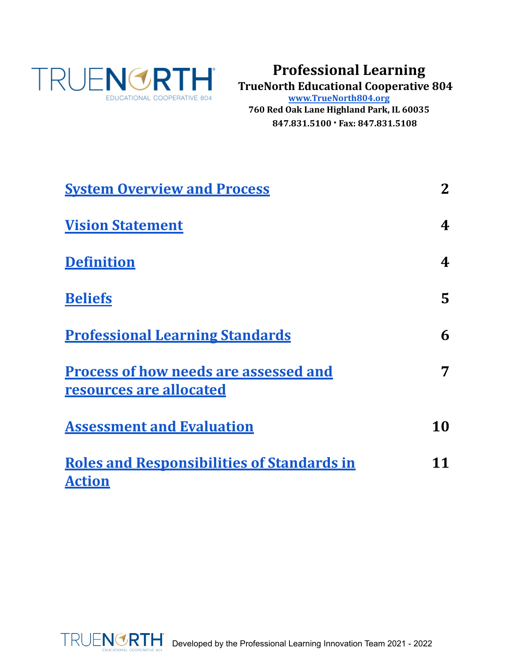<span id="page-0-0"></span>

# **Professional Learning**

**TrueNorth Educational Cooperative 804**

**[www.TrueNorth804.org](http://truenorth804.org)**

**760 Red Oak Lane Highland Park, IL 60035 847.831.5100 · Fax: 847.831.5108**

| <b>System Overview and Process</b>                                      | $\mathbf{2}$   |
|-------------------------------------------------------------------------|----------------|
| <b>Vision Statement</b>                                                 | 4              |
| <b>Definition</b>                                                       | 4              |
| <b>Beliefs</b>                                                          | $\overline{5}$ |
| <b>Professional Learning Standards</b>                                  | 6              |
| <b>Process of how needs are assessed and</b><br>resources are allocated | 7              |
| <b>Assessment and Evaluation</b>                                        | 10             |
| <b>Roles and Responsibilities of Standards in</b><br><b>Action</b>      | 11             |

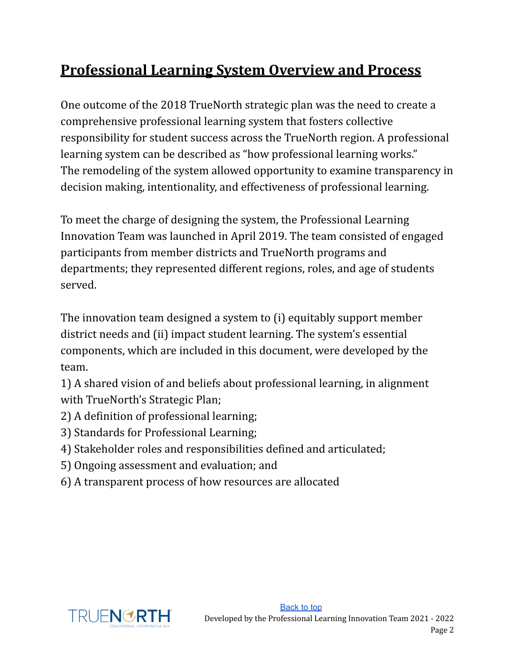# <span id="page-1-0"></span>**Professional Learning System Overview and Process**

One outcome of the 2018 TrueNorth strategic plan was the need to create a comprehensive professional learning system that fosters collective responsibility for student success across the TrueNorth region. A professional learning system can be described as "how professional learning works." The remodeling of the system allowed opportunity to examine transparency in decision making, intentionality, and effectiveness of professional learning.

To meet the charge of designing the system, the Professional Learning Innovation Team was launched in April 2019. The team consisted of engaged participants from member districts and TrueNorth programs and departments; they represented different regions, roles, and age of students served.

The innovation team designed a system to (i) equitably support member district needs and (ii) impact student learning. The system's essential components, which are included in this document, were developed by the team.

1) A shared vision of and beliefs about professional learning, in alignment with TrueNorth's Strategic Plan;

- 2) A definition of professional learning;
- 3) Standards for Professional Learning;
- 4) Stakeholder roles and responsibilities defined and articulated;
- 5) Ongoing assessment and evaluation; and
- 6) A transparent process of how resources are allocated

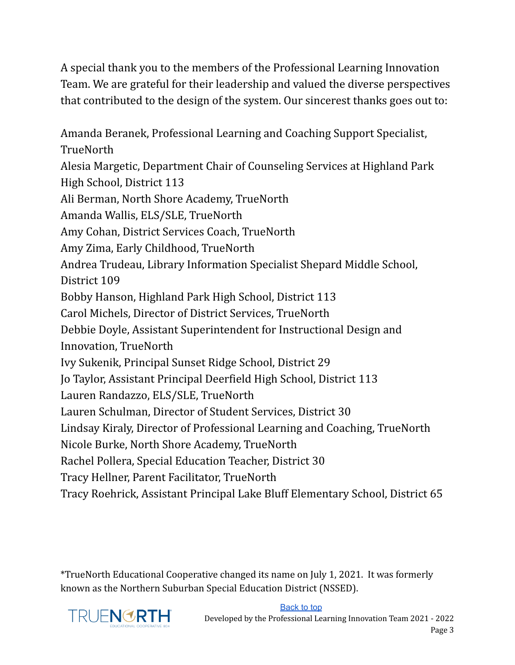A special thank you to the members of the Professional Learning Innovation Team. We are grateful for their leadership and valued the diverse perspectives that contributed to the design of the system. Our sincerest thanks goes out to:

Amanda Beranek, Professional Learning and Coaching Support Specialist, **TrueNorth** Alesia Margetic, Department Chair of Counseling Services at Highland Park High School, District 113 Ali Berman, North Shore Academy, TrueNorth Amanda Wallis, ELS/SLE, TrueNorth Amy Cohan, District Services Coach, TrueNorth Amy Zima, Early Childhood, TrueNorth Andrea Trudeau, Library Information Specialist Shepard Middle School, District 109 Bobby Hanson, Highland Park High School, District 113 Carol Michels, Director of District Services, TrueNorth Debbie Doyle, Assistant Superintendent for Instructional Design and Innovation, TrueNorth Ivy Sukenik, Principal Sunset Ridge School, District 29 Jo Taylor, Assistant Principal Deerfield High School, District 113 Lauren Randazzo, ELS/SLE, TrueNorth Lauren Schulman, Director of Student Services, District 30 Lindsay Kiraly, Director of Professional Learning and Coaching, TrueNorth Nicole Burke, North Shore Academy, TrueNorth Rachel Pollera, Special Education Teacher, District 30 Tracy Hellner, Parent Facilitator, TrueNorth Tracy Roehrick, Assistant Principal Lake Bluff Elementary School, District 65

\*TrueNorth Educational Cooperative changed its name on July 1, 2021. It was formerly known as the Northern Suburban Special Education District (NSSED).

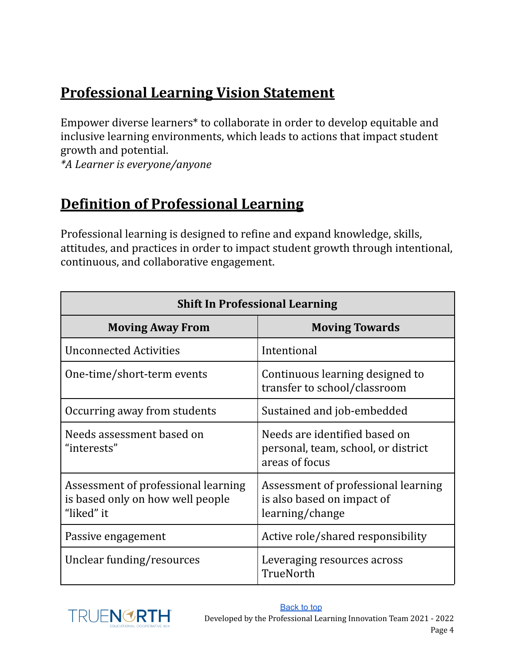# <span id="page-3-0"></span>**Professional Learning Vision Statement**

Empower diverse learners\* to collaborate in order to develop equitable and inclusive learning environments, which leads to actions that impact student growth and potential.

*\*A Learner is everyone/anyone*

## <span id="page-3-1"></span>**Definition of Professional Learning**

Professional learning is designed to refine and expand knowledge, skills, attitudes, and practices in order to impact student growth through intentional, continuous, and collaborative engagement.

| <b>Shift In Professional Learning</b>                                                 |                                                                                        |  |  |
|---------------------------------------------------------------------------------------|----------------------------------------------------------------------------------------|--|--|
| <b>Moving Away From</b>                                                               | <b>Moving Towards</b>                                                                  |  |  |
| <b>Unconnected Activities</b>                                                         | Intentional                                                                            |  |  |
| One-time/short-term events                                                            | Continuous learning designed to<br>transfer to school/classroom                        |  |  |
| Occurring away from students                                                          | Sustained and job-embedded                                                             |  |  |
| Needs assessment based on<br>"interests"                                              | Needs are identified based on<br>personal, team, school, or district<br>areas of focus |  |  |
| Assessment of professional learning<br>is based only on how well people<br>"liked" it | Assessment of professional learning<br>is also based on impact of<br>learning/change   |  |  |
| Passive engagement                                                                    | Active role/shared responsibility                                                      |  |  |
| Unclear funding/resources                                                             | Leveraging resources across<br>TrueNorth                                               |  |  |

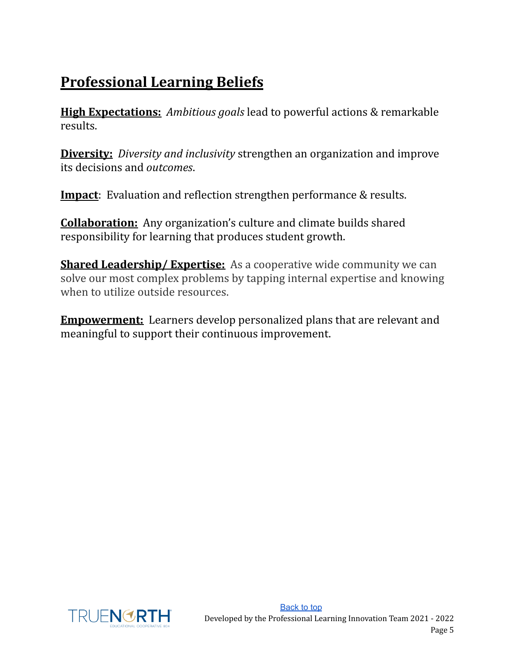# <span id="page-4-0"></span>**Professional Learning Beliefs**

**High Expectations:** *Ambitious goals* lead to powerful actions & remarkable results.

**Diversity:** *Diversity and inclusivity* strengthen an organization and improve its decisions and *outcomes*.

**Impact**: Evaluation and reflection strengthen performance & results.

**Collaboration:** Any organization's culture and climate builds shared responsibility for learning that produces student growth.

**Shared Leadership/Expertise:** As a cooperative wide community we can solve our most complex problems by tapping internal expertise and knowing when to utilize outside resources.

**Empowerment:** Learners develop personalized plans that are relevant and meaningful to support their continuous improvement.

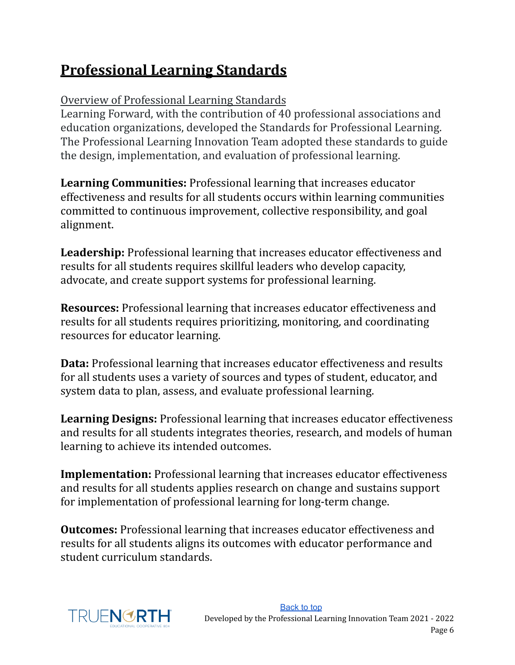# <span id="page-5-0"></span>**Professional Learning Standards**

### Overview of Professional Learning Standards

Learning Forward, with the contribution of 40 professional associations and education organizations, developed the Standards for Professional Learning. The Professional Learning Innovation Team adopted these standards to guide the design, implementation, and evaluation of professional learning.

<span id="page-5-1"></span>**Learning Communities:** Professional learning that increases educator effectiveness and results for all students occurs within learning communities committed to continuous improvement, collective responsibility, and goal alignment.

<span id="page-5-2"></span>**Leadership:** Professional learning that increases educator effectiveness and results for all students requires skillful leaders who develop capacity, advocate, and create support systems for professional learning.

<span id="page-5-3"></span>**Resources:** Professional learning that increases educator effectiveness and results for all students requires prioritizing, monitoring, and coordinating resources for educator learning.

<span id="page-5-4"></span>**Data:** Professional learning that increases educator effectiveness and results for all students uses a variety of sources and types of student, educator, and system data to plan, assess, and evaluate professional learning.

<span id="page-5-5"></span>**Learning Designs:** Professional learning that increases educator effectiveness and results for all students integrates theories, research, and models of human learning to achieve its intended outcomes.

<span id="page-5-6"></span>**Implementation:** Professional learning that increases educator effectiveness and results for all students applies research on change and sustains support for implementation of professional learning for long-term change.

<span id="page-5-7"></span>**Outcomes:** Professional learning that increases educator effectiveness and results for all students aligns its outcomes with educator performance and student curriculum standards.

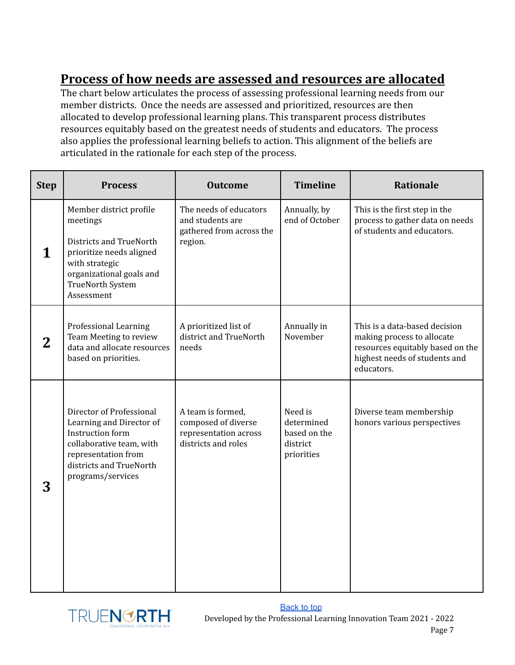### <span id="page-6-0"></span>**Process of how needs are assessed and resources are allocated**

The chart below articulates the process of assessing professional learning needs from our member districts. Once the needs are assessed and prioritized, resources are then allocated to develop professional learning plans. This transparent process distributes resources equitably based on the greatest needs of students and educators. The process also applies the professional learning beliefs to action. This alignment of the beliefs are articulated in the rationale for each step of the process.

| <b>Step</b> | <b>Process</b>                                                                                                                                                              | <b>Outcome</b>                                                                           | <b>Timeline</b>                                                 | <b>Rationale</b>                                                                                                                               |
|-------------|-----------------------------------------------------------------------------------------------------------------------------------------------------------------------------|------------------------------------------------------------------------------------------|-----------------------------------------------------------------|------------------------------------------------------------------------------------------------------------------------------------------------|
| 1           | Member district profile<br>meetings<br>Districts and TrueNorth<br>prioritize needs aligned<br>with strategic<br>organizational goals and<br>TrueNorth System<br>Assessment  | The needs of educators<br>and students are<br>gathered from across the<br>region.        | Annually, by<br>end of October                                  | This is the first step in the<br>process to gather data on needs<br>of students and educators.                                                 |
| 2           | <b>Professional Learning</b><br>Team Meeting to review<br>data and allocate resources<br>based on priorities.                                                               | A prioritized list of<br>district and TrueNorth<br>needs                                 | Annually in<br>November                                         | This is a data-based decision<br>making process to allocate<br>resources equitably based on the<br>highest needs of students and<br>educators. |
| 3           | Director of Professional<br>Learning and Director of<br>Instruction form<br>collaborative team, with<br>representation from<br>districts and TrueNorth<br>programs/services | A team is formed,<br>composed of diverse<br>representation across<br>districts and roles | Need is<br>determined<br>based on the<br>district<br>priorities | Diverse team membership<br>honors various perspectives                                                                                         |

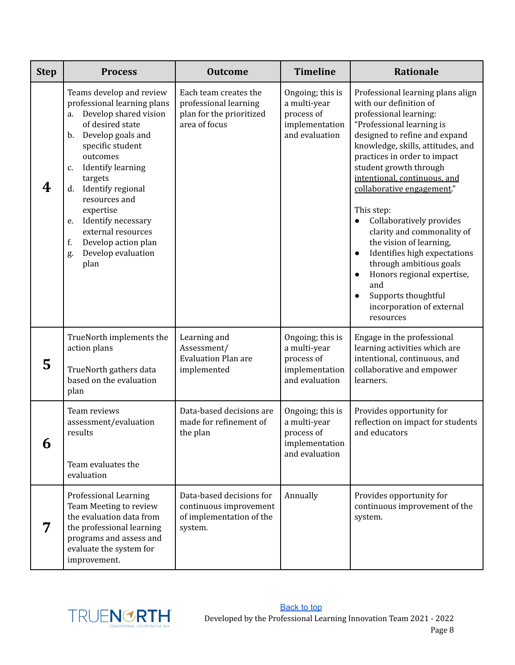| <b>Step</b> | <b>Process</b>                                                                                                                                                                                                                                                                                                                                                                                             | <b>Outcome</b>                                                                              | <b>Timeline</b>                                                                    | <b>Rationale</b>                                                                                                                                                                                                                                                                                                                                                                                                                                                                                                                                                                                                            |
|-------------|------------------------------------------------------------------------------------------------------------------------------------------------------------------------------------------------------------------------------------------------------------------------------------------------------------------------------------------------------------------------------------------------------------|---------------------------------------------------------------------------------------------|------------------------------------------------------------------------------------|-----------------------------------------------------------------------------------------------------------------------------------------------------------------------------------------------------------------------------------------------------------------------------------------------------------------------------------------------------------------------------------------------------------------------------------------------------------------------------------------------------------------------------------------------------------------------------------------------------------------------------|
| 4           | Teams develop and review<br>professional learning plans<br>Develop shared vision<br>a.<br>of desired state<br>Develop goals and<br>$\mathbf{b}$ .<br>specific student<br>outcomes<br><b>Identify learning</b><br>c.<br>targets<br>Identify regional<br>d.<br>resources and<br>expertise<br>Identify necessary<br>e.<br>external resources<br>Develop action plan<br>f.<br>Develop evaluation<br>g.<br>plan | Each team creates the<br>professional learning<br>plan for the prioritized<br>area of focus | Ongoing; this is<br>a multi-year<br>process of<br>implementation<br>and evaluation | Professional learning plans align<br>with our definition of<br>professional learning:<br>"Professional learning is<br>designed to refine and expand<br>knowledge, skills, attitudes, and<br>practices in order to impact<br>student growth through<br>intentional, continuous, and<br>collaborative engagement."<br>This step:<br>Collaboratively provides<br>clarity and commonality of<br>the vision of learning,<br>Identifies high expectations<br>$\bullet$<br>through ambitious goals<br>Honors regional expertise,<br>$\bullet$<br>and<br>Supports thoughtful<br>$\bullet$<br>incorporation of external<br>resources |
| 5           | TrueNorth implements the<br>action plans<br>TrueNorth gathers data<br>based on the evaluation<br>plan                                                                                                                                                                                                                                                                                                      | Learning and<br>Assessment/<br><b>Evaluation Plan are</b><br>implemented                    | Ongoing; this is<br>a multi-year<br>process of<br>implementation<br>and evaluation | Engage in the professional<br>learning activities which are<br>intentional, continuous, and<br>collaborative and empower<br>learners.                                                                                                                                                                                                                                                                                                                                                                                                                                                                                       |
| 6           | Team reviews<br>assessment/evaluation<br>results<br>Team evaluates the<br>evaluation                                                                                                                                                                                                                                                                                                                       | Data-based decisions are<br>made for refinement of<br>the plan                              | Ongoing; this is<br>a multi-year<br>process of<br>implementation<br>and evaluation | Provides opportunity for<br>reflection on impact for students<br>and educators                                                                                                                                                                                                                                                                                                                                                                                                                                                                                                                                              |
| 7           | <b>Professional Learning</b><br>Team Meeting to review<br>the evaluation data from<br>the professional learning<br>programs and assess and<br>evaluate the system for<br>improvement.                                                                                                                                                                                                                      | Data-based decisions for<br>continuous improvement<br>of implementation of the<br>system.   | Annually                                                                           | Provides opportunity for<br>continuous improvement of the<br>system.                                                                                                                                                                                                                                                                                                                                                                                                                                                                                                                                                        |

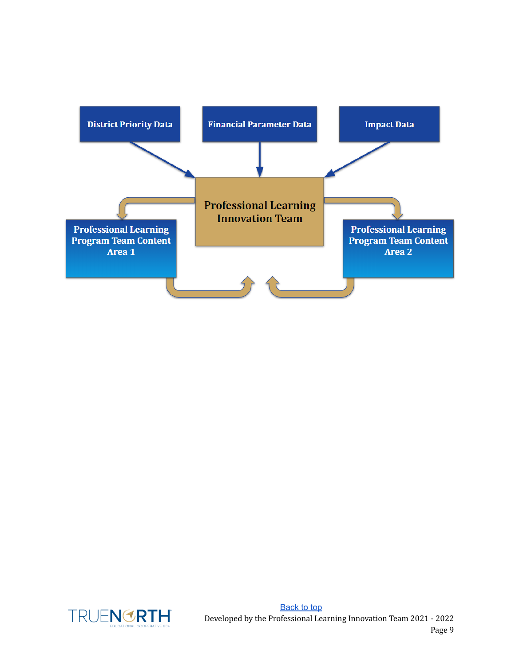

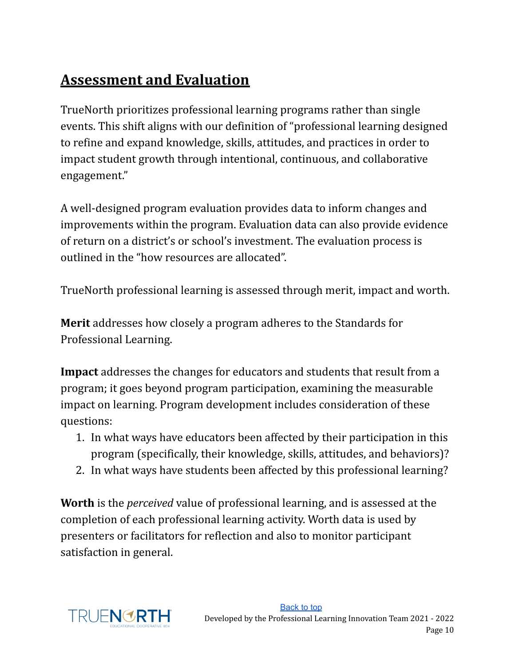# <span id="page-9-0"></span>**Assessment and Evaluation**

TrueNorth prioritizes professional learning programs rather than single events. This shift aligns with our definition of "professional learning designed to refine and expand knowledge, skills, attitudes, and practices in order to impact student growth through intentional, continuous, and collaborative engagement."

A well-designed program evaluation provides data to inform changes and improvements within the program. Evaluation data can also provide evidence of return on a district's or school's investment. The evaluation process is outlined in the "how resources are allocated".

TrueNorth professional learning is assessed through merit, impact and worth.

**Merit** addresses how closely a program adheres to the Standards for Professional Learning.

**Impact** addresses the changes for educators and students that result from a program; it goes beyond program participation, examining the measurable impact on learning. Program development includes consideration of these questions:

- 1. In what ways have educators been affected by their participation in this program (specifically, their knowledge, skills, attitudes, and behaviors)?
- 2. In what ways have students been affected by this professional learning?

**Worth** is the *perceived* value of professional learning, and is assessed at the completion of each professional learning activity. Worth data is used by presenters or facilitators for reflection and also to monitor participant satisfaction in general.

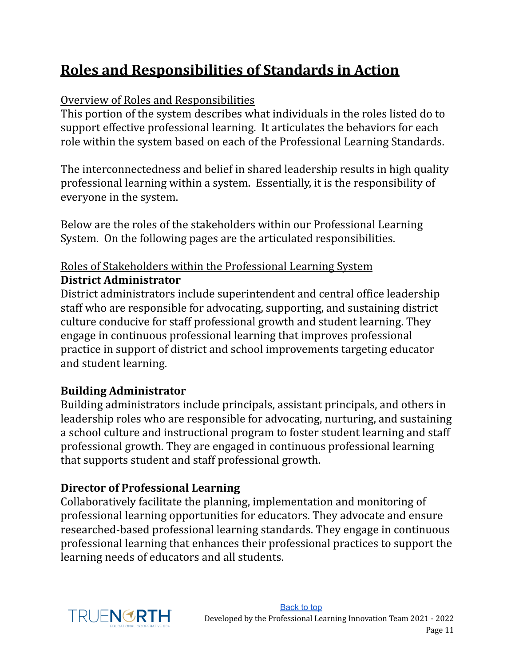# <span id="page-10-0"></span>**Roles and Responsibilities of Standards in Action**

#### Overview of Roles and Responsibilities

This portion of the system describes what individuals in the roles listed do to support effective professional learning. It articulates the behaviors for each role within the system based on each of the Professional Learning Standards.

The interconnectedness and belief in shared leadership results in high quality professional learning within a system. Essentially, it is the responsibility of everyone in the system.

Below are the roles of the stakeholders within our Professional Learning System. On the following pages are the articulated responsibilities.

#### Roles of Stakeholders within the Professional Learning System **District Administrator**

District administrators include superintendent and central office leadership staff who are responsible for advocating, supporting, and sustaining district culture conducive for staff professional growth and student learning. They engage in continuous professional learning that improves professional practice in support of district and school improvements targeting educator and student learning.

#### **Building Administrator**

Building administrators include principals, assistant principals, and others in leadership roles who are responsible for advocating, nurturing, and sustaining a school culture and instructional program to foster student learning and staff professional growth. They are engaged in continuous professional learning that supports student and staff professional growth.

#### **Director of Professional Learning**

Collaboratively facilitate the planning, implementation and monitoring of professional learning opportunities for educators. They advocate and ensure researched-based professional learning standards. They engage in continuous professional learning that enhances their professional practices to support the learning needs of educators and all students.

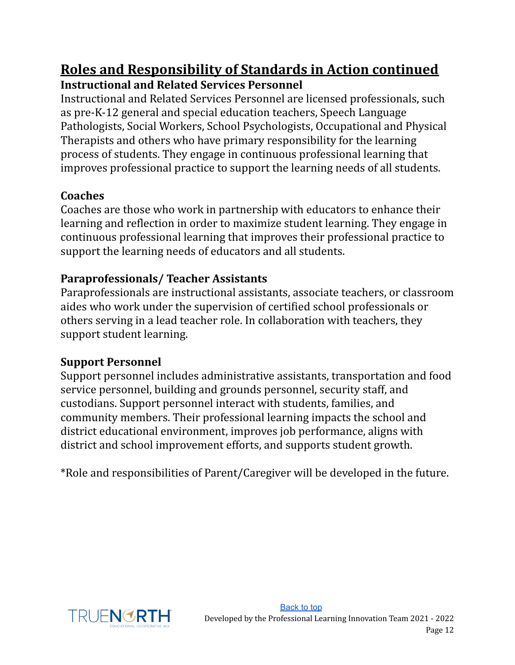### **Roles and Responsibility of Standards in Action continued Instructional and Related Services Personnel**

Instructional and Related Services Personnel are licensed professionals, such as pre-K-12 general and special education teachers, Speech Language Pathologists, Social Workers, School Psychologists, Occupational and Physical Therapists and others who have primary responsibility for the learning process of students. They engage in continuous professional learning that improves professional practice to support the learning needs of all students.

#### **Coaches**

Coaches are those who work in partnership with educators to enhance their learning and reflection in order to maximize student learning. They engage in continuous professional learning that improves their professional practice to support the learning needs of educators and all students.

#### **Paraprofessionals/ Teacher Assistants**

Paraprofessionals are instructional assistants, associate teachers, or classroom aides who work under the supervision of certified school professionals or others serving in a lead teacher role. In collaboration with teachers, they support student learning.

#### **Support Personnel**

Support personnel includes administrative assistants, transportation and food service personnel, building and grounds personnel, security staff, and custodians. Support personnel interact with students, families, and community members. Their professional learning impacts the school and district educational environment, improves job performance, aligns with district and school improvement efforts, and supports student growth.

\*Role and responsibilities of Parent/Caregiver will be developed in the future.

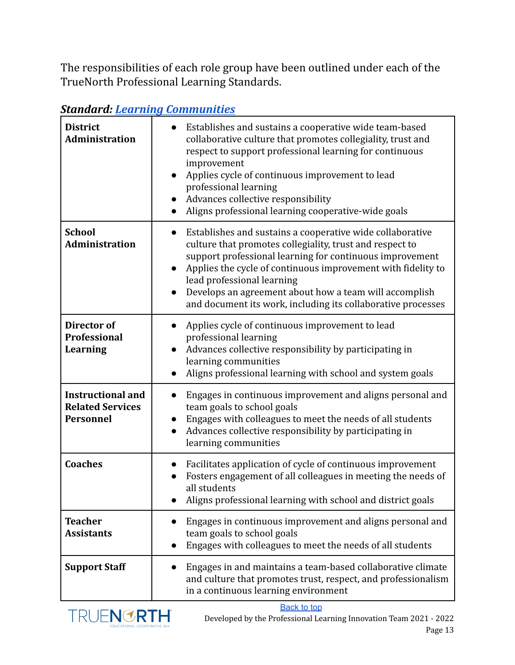The responsibilities of each role group have been outlined under each of the TrueNorth Professional Learning Standards.

| <b>District</b><br><b>Administration</b>                                | Establishes and sustains a cooperative wide team-based<br>collaborative culture that promotes collegiality, trust and<br>respect to support professional learning for continuous<br>improvement<br>Applies cycle of continuous improvement to lead<br>professional learning<br>Advances collective responsibility<br>$\bullet$<br>Aligns professional learning cooperative-wide goals                                  |
|-------------------------------------------------------------------------|------------------------------------------------------------------------------------------------------------------------------------------------------------------------------------------------------------------------------------------------------------------------------------------------------------------------------------------------------------------------------------------------------------------------|
| <b>School</b><br><b>Administration</b>                                  | Establishes and sustains a cooperative wide collaborative<br>$\bullet$<br>culture that promotes collegiality, trust and respect to<br>support professional learning for continuous improvement<br>Applies the cycle of continuous improvement with fidelity to<br>lead professional learning<br>Develops an agreement about how a team will accomplish<br>and document its work, including its collaborative processes |
| Director of<br><b>Professional</b><br><b>Learning</b>                   | Applies cycle of continuous improvement to lead<br>professional learning<br>Advances collective responsibility by participating in<br>learning communities<br>Aligns professional learning with school and system goals                                                                                                                                                                                                |
| <b>Instructional and</b><br><b>Related Services</b><br><b>Personnel</b> | Engages in continuous improvement and aligns personal and<br>$\bullet$<br>team goals to school goals<br>Engages with colleagues to meet the needs of all students<br>Advances collective responsibility by participating in<br>learning communities                                                                                                                                                                    |
| <b>Coaches</b>                                                          | Facilitates application of cycle of continuous improvement<br>Fosters engagement of all colleagues in meeting the needs of<br>all students<br>Aligns professional learning with school and district goals                                                                                                                                                                                                              |
| <b>Teacher</b><br><b>Assistants</b>                                     | Engages in continuous improvement and aligns personal and<br>team goals to school goals<br>Engages with colleagues to meet the needs of all students                                                                                                                                                                                                                                                                   |
| <b>Support Staff</b>                                                    | Engages in and maintains a team-based collaborative climate<br>and culture that promotes trust, respect, and professionalism<br>in a continuous learning environment                                                                                                                                                                                                                                                   |

#### *Standard: Learning [Communities](#page-5-1)*

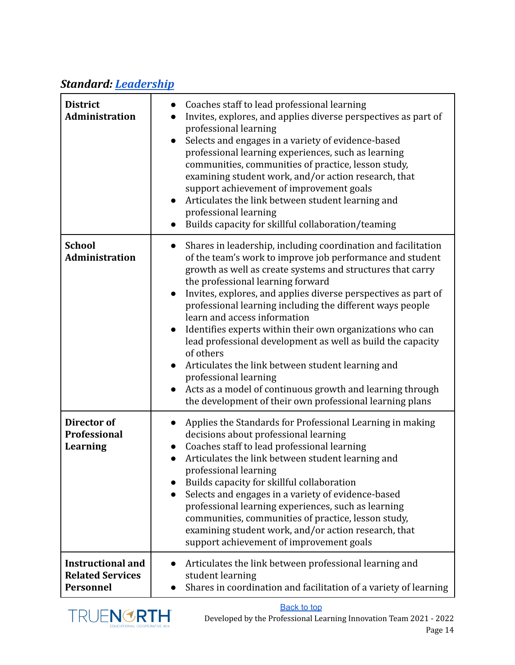### *Standard: [Leadership](#page-5-2)*

| <b>District</b><br><b>Administration</b>                                | Coaches staff to lead professional learning<br>Invites, explores, and applies diverse perspectives as part of<br>professional learning<br>Selects and engages in a variety of evidence-based<br>professional learning experiences, such as learning<br>communities, communities of practice, lesson study,<br>examining student work, and/or action research, that<br>support achievement of improvement goals<br>Articulates the link between student learning and<br>$\bullet$<br>professional learning<br>Builds capacity for skillful collaboration/teaming                                                                                                                                                                                                                                  |
|-------------------------------------------------------------------------|--------------------------------------------------------------------------------------------------------------------------------------------------------------------------------------------------------------------------------------------------------------------------------------------------------------------------------------------------------------------------------------------------------------------------------------------------------------------------------------------------------------------------------------------------------------------------------------------------------------------------------------------------------------------------------------------------------------------------------------------------------------------------------------------------|
| <b>School</b><br><b>Administration</b>                                  | Shares in leadership, including coordination and facilitation<br>$\bullet$<br>of the team's work to improve job performance and student<br>growth as well as create systems and structures that carry<br>the professional learning forward<br>Invites, explores, and applies diverse perspectives as part of<br>$\bullet$<br>professional learning including the different ways people<br>learn and access information<br>Identifies experts within their own organizations who can<br>lead professional development as well as build the capacity<br>of others<br>Articulates the link between student learning and<br>$\bullet$<br>professional learning<br>Acts as a model of continuous growth and learning through<br>$\bullet$<br>the development of their own professional learning plans |
| Director of<br><b>Professional</b><br><b>Learning</b>                   | Applies the Standards for Professional Learning in making<br>decisions about professional learning<br>Coaches staff to lead professional learning<br>$\bullet$<br>Articulates the link between student learning and<br>professional learning<br>Builds capacity for skillful collaboration<br>Selects and engages in a variety of evidence-based<br>professional learning experiences, such as learning<br>communities, communities of practice, lesson study,<br>examining student work, and/or action research, that<br>support achievement of improvement goals                                                                                                                                                                                                                               |
| <b>Instructional and</b><br><b>Related Services</b><br><b>Personnel</b> | Articulates the link between professional learning and<br>student learning<br>Shares in coordination and facilitation of a variety of learning                                                                                                                                                                                                                                                                                                                                                                                                                                                                                                                                                                                                                                                   |

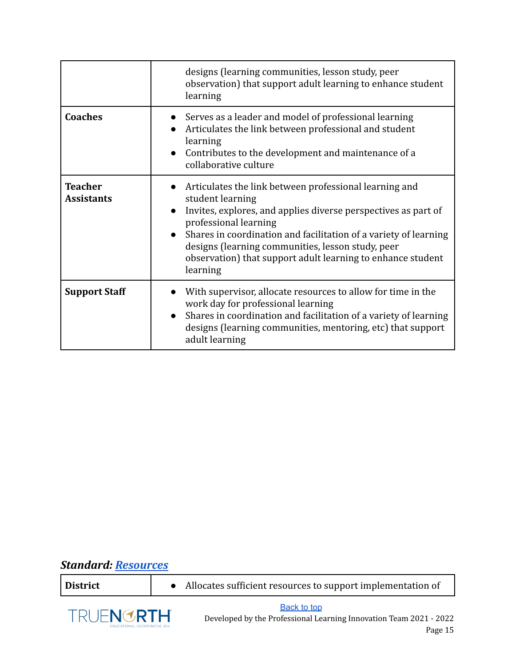|                                     | designs (learning communities, lesson study, peer<br>observation) that support adult learning to enhance student<br>learning                                                                                                                                                                                                                                                                        |
|-------------------------------------|-----------------------------------------------------------------------------------------------------------------------------------------------------------------------------------------------------------------------------------------------------------------------------------------------------------------------------------------------------------------------------------------------------|
| <b>Coaches</b>                      | • Serves as a leader and model of professional learning<br>Articulates the link between professional and student<br>learning<br>Contributes to the development and maintenance of a<br>collaborative culture                                                                                                                                                                                        |
| <b>Teacher</b><br><b>Assistants</b> | Articulates the link between professional learning and<br>$\bullet$<br>student learning<br>Invites, explores, and applies diverse perspectives as part of<br>$\bullet$<br>professional learning<br>Shares in coordination and facilitation of a variety of learning<br>designs (learning communities, lesson study, peer<br>observation) that support adult learning to enhance student<br>learning |
| <b>Support Staff</b>                | With supervisor, allocate resources to allow for time in the<br>work day for professional learning<br>Shares in coordination and facilitation of a variety of learning<br>$\bullet$<br>designs (learning communities, mentoring, etc) that support<br>adult learning                                                                                                                                |

### *Standard: [Resources](#page-5-3)*

| District                                              |  | Allocates sufficient resources to support implementation of                                         |
|-------------------------------------------------------|--|-----------------------------------------------------------------------------------------------------|
| TRUENGRTH <sup>®</sup><br>EDUCATIONAL COOPERATIVE 804 |  | <b>Back to top</b><br>Developed by the Professional Learning Innovation Team 2021 - 2022<br>Page 15 |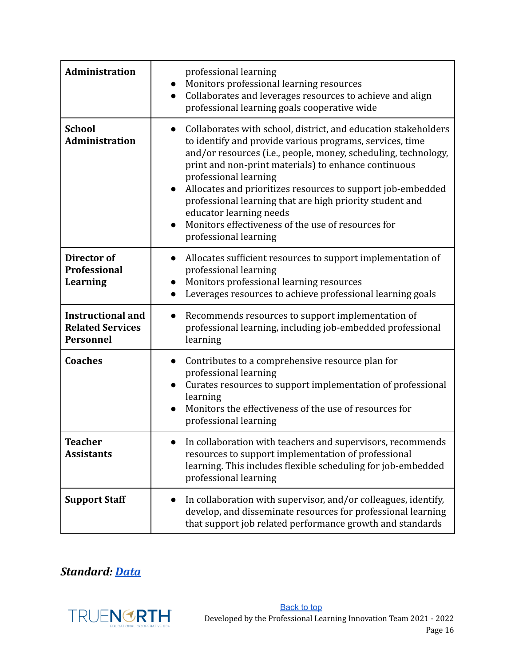| Administration                                                          | professional learning<br>Monitors professional learning resources<br>Collaborates and leverages resources to achieve and align<br>professional learning goals cooperative wide                                                                                                                                                                                                                                                                                                                                                               |
|-------------------------------------------------------------------------|----------------------------------------------------------------------------------------------------------------------------------------------------------------------------------------------------------------------------------------------------------------------------------------------------------------------------------------------------------------------------------------------------------------------------------------------------------------------------------------------------------------------------------------------|
| <b>School</b><br><b>Administration</b>                                  | Collaborates with school, district, and education stakeholders<br>$\bullet$<br>to identify and provide various programs, services, time<br>and/or resources (i.e., people, money, scheduling, technology,<br>print and non-print materials) to enhance continuous<br>professional learning<br>Allocates and prioritizes resources to support job-embedded<br>$\bullet$<br>professional learning that are high priority student and<br>educator learning needs<br>Monitors effectiveness of the use of resources for<br>professional learning |
| Director of<br><b>Professional</b><br><b>Learning</b>                   | Allocates sufficient resources to support implementation of<br>$\bullet$<br>professional learning<br>Monitors professional learning resources<br>Leverages resources to achieve professional learning goals                                                                                                                                                                                                                                                                                                                                  |
| <b>Instructional and</b><br><b>Related Services</b><br><b>Personnel</b> | Recommends resources to support implementation of<br>professional learning, including job-embedded professional<br>learning                                                                                                                                                                                                                                                                                                                                                                                                                  |
| <b>Coaches</b>                                                          | Contributes to a comprehensive resource plan for<br>$\bullet$<br>professional learning<br>Curates resources to support implementation of professional<br>learning<br>Monitors the effectiveness of the use of resources for<br>professional learning                                                                                                                                                                                                                                                                                         |
| <b>Teacher</b><br><b>Assistants</b>                                     | In collaboration with teachers and supervisors, recommends<br>resources to support implementation of professional<br>learning. This includes flexible scheduling for job-embedded<br>professional learning                                                                                                                                                                                                                                                                                                                                   |
| <b>Support Staff</b>                                                    | In collaboration with supervisor, and/or colleagues, identify,<br>develop, and disseminate resources for professional learning<br>that support job related performance growth and standards                                                                                                                                                                                                                                                                                                                                                  |

### *Standard: [Data](#page-5-4)*

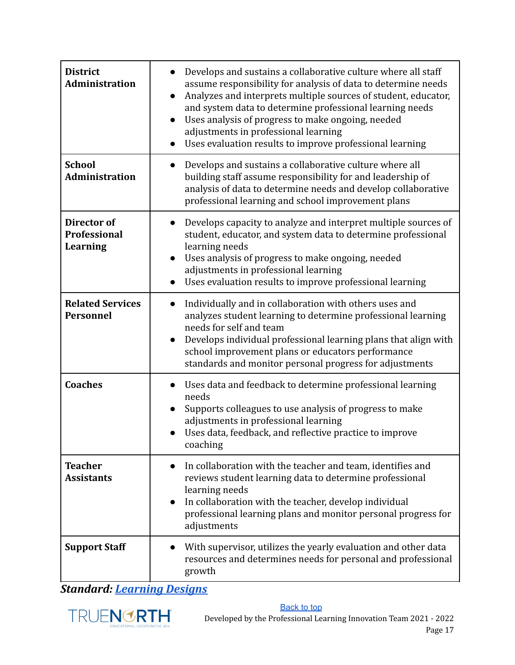| <b>District</b><br><b>Administration</b>              | Develops and sustains a collaborative culture where all staff<br>assume responsibility for analysis of data to determine needs<br>Analyzes and interprets multiple sources of student, educator,<br>and system data to determine professional learning needs<br>Uses analysis of progress to make ongoing, needed<br>adjustments in professional learning<br>Uses evaluation results to improve professional learning<br>$\bullet$ |
|-------------------------------------------------------|------------------------------------------------------------------------------------------------------------------------------------------------------------------------------------------------------------------------------------------------------------------------------------------------------------------------------------------------------------------------------------------------------------------------------------|
| <b>School</b><br>Administration                       | Develops and sustains a collaborative culture where all<br>$\bullet$<br>building staff assume responsibility for and leadership of<br>analysis of data to determine needs and develop collaborative<br>professional learning and school improvement plans                                                                                                                                                                          |
| Director of<br><b>Professional</b><br><b>Learning</b> | Develops capacity to analyze and interpret multiple sources of<br>student, educator, and system data to determine professional<br>learning needs<br>Uses analysis of progress to make ongoing, needed<br>adjustments in professional learning<br>Uses evaluation results to improve professional learning                                                                                                                          |
| <b>Related Services</b><br><b>Personnel</b>           | Individually and in collaboration with others uses and<br>$\bullet$<br>analyzes student learning to determine professional learning<br>needs for self and team<br>Develops individual professional learning plans that align with<br>school improvement plans or educators performance<br>standards and monitor personal progress for adjustments                                                                                  |
| <b>Coaches</b>                                        | Uses data and feedback to determine professional learning<br>needs<br>Supports colleagues to use analysis of progress to make<br>adjustments in professional learning<br>Uses data, feedback, and reflective practice to improve<br>coaching                                                                                                                                                                                       |
| <b>Teacher</b><br><b>Assistants</b>                   | In collaboration with the teacher and team, identifies and<br>reviews student learning data to determine professional<br>learning needs<br>In collaboration with the teacher, develop individual<br>professional learning plans and monitor personal progress for<br>adjustments                                                                                                                                                   |
| <b>Support Staff</b>                                  | With supervisor, utilizes the yearly evaluation and other data<br>resources and determines needs for personal and professional<br>growth                                                                                                                                                                                                                                                                                           |

*Standard: [Learning](#page-5-5) Designs*

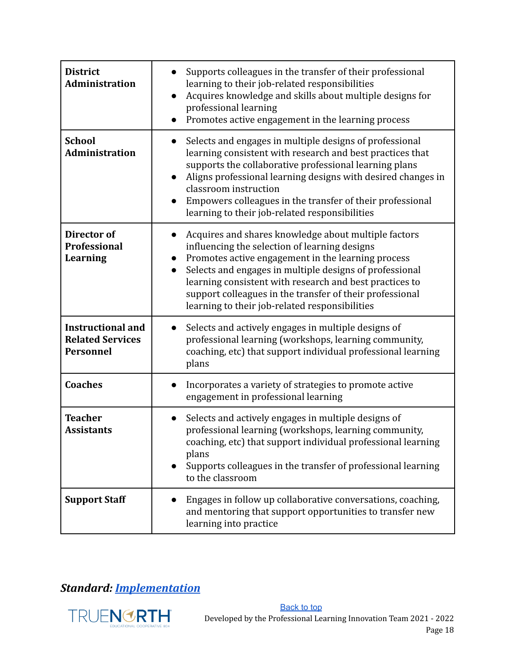| <b>District</b><br><b>Administration</b>                                | Supports colleagues in the transfer of their professional<br>learning to their job-related responsibilities<br>Acquires knowledge and skills about multiple designs for<br>professional learning<br>Promotes active engagement in the learning process                                                                                                                                                                    |
|-------------------------------------------------------------------------|---------------------------------------------------------------------------------------------------------------------------------------------------------------------------------------------------------------------------------------------------------------------------------------------------------------------------------------------------------------------------------------------------------------------------|
| <b>School</b><br><b>Administration</b>                                  | Selects and engages in multiple designs of professional<br>learning consistent with research and best practices that<br>supports the collaborative professional learning plans<br>Aligns professional learning designs with desired changes in<br>$\bullet$<br>classroom instruction<br>Empowers colleagues in the transfer of their professional<br>learning to their job-related responsibilities                       |
| Director of<br><b>Professional</b><br>Learning                          | Acquires and shares knowledge about multiple factors<br>influencing the selection of learning designs<br>Promotes active engagement in the learning process<br>$\bullet$<br>Selects and engages in multiple designs of professional<br>$\bullet$<br>learning consistent with research and best practices to<br>support colleagues in the transfer of their professional<br>learning to their job-related responsibilities |
| <b>Instructional and</b><br><b>Related Services</b><br><b>Personnel</b> | Selects and actively engages in multiple designs of<br>professional learning (workshops, learning community,<br>coaching, etc) that support individual professional learning<br>plans                                                                                                                                                                                                                                     |
| <b>Coaches</b>                                                          | Incorporates a variety of strategies to promote active<br>engagement in professional learning                                                                                                                                                                                                                                                                                                                             |
| <b>Teacher</b><br><b>Assistants</b>                                     | Selects and actively engages in multiple designs of<br>professional learning (workshops, learning community,<br>coaching, etc) that support individual professional learning<br>plans<br>Supports colleagues in the transfer of professional learning<br>to the classroom                                                                                                                                                 |
| <b>Support Staff</b>                                                    | Engages in follow up collaborative conversations, coaching,<br>and mentoring that support opportunities to transfer new<br>learning into practice                                                                                                                                                                                                                                                                         |

### *Standard: [Implementation](#page-5-6)*

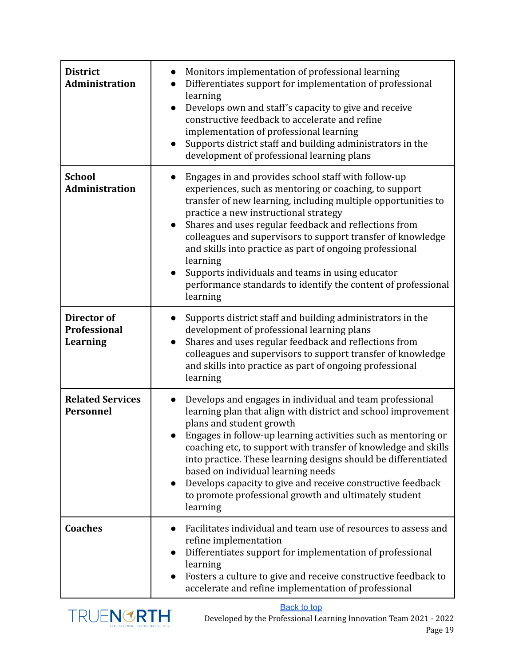| <b>District</b><br><b>Administration</b>              | Monitors implementation of professional learning<br>Differentiates support for implementation of professional<br>learning<br>Develops own and staff's capacity to give and receive<br>$\bullet$<br>constructive feedback to accelerate and refine<br>implementation of professional learning<br>Supports district staff and building administrators in the<br>$\bullet$<br>development of professional learning plans                                                                                                                                                 |
|-------------------------------------------------------|-----------------------------------------------------------------------------------------------------------------------------------------------------------------------------------------------------------------------------------------------------------------------------------------------------------------------------------------------------------------------------------------------------------------------------------------------------------------------------------------------------------------------------------------------------------------------|
| <b>School</b><br><b>Administration</b>                | Engages in and provides school staff with follow-up<br>experiences, such as mentoring or coaching, to support<br>transfer of new learning, including multiple opportunities to<br>practice a new instructional strategy<br>Shares and uses regular feedback and reflections from<br>$\bullet$<br>colleagues and supervisors to support transfer of knowledge<br>and skills into practice as part of ongoing professional<br>learning<br>Supports individuals and teams in using educator<br>performance standards to identify the content of professional<br>learning |
| Director of<br><b>Professional</b><br><b>Learning</b> | Supports district staff and building administrators in the<br>development of professional learning plans<br>Shares and uses regular feedback and reflections from<br>colleagues and supervisors to support transfer of knowledge<br>and skills into practice as part of ongoing professional<br>learning                                                                                                                                                                                                                                                              |
| <b>Related Services</b><br>Personnel                  | Develops and engages in individual and team professional<br>learning plan that align with district and school improvement<br>plans and student growth<br>Engages in follow-up learning activities such as mentoring or<br>coaching etc, to support with transfer of knowledge and skills<br>into practice. These learning designs should be differentiated<br>based on individual learning needs<br>Develops capacity to give and receive constructive feedback<br>$\bullet$<br>to promote professional growth and ultimately student<br>learning                     |
| <b>Coaches</b>                                        | Facilitates individual and team use of resources to assess and<br>refine implementation<br>Differentiates support for implementation of professional<br>$\bullet$<br>learning<br>Fosters a culture to give and receive constructive feedback to<br>accelerate and refine implementation of professional                                                                                                                                                                                                                                                               |

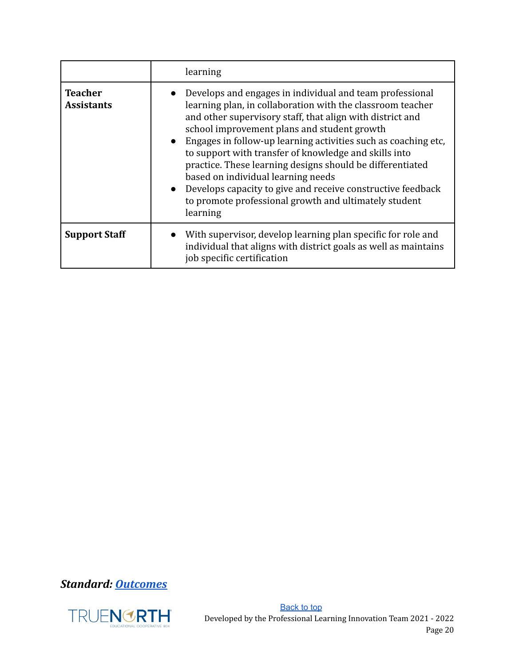|                                     | learning                                                                                                                                                                                                                                                                                                                                                                                                                                                                                                                                                                                                 |
|-------------------------------------|----------------------------------------------------------------------------------------------------------------------------------------------------------------------------------------------------------------------------------------------------------------------------------------------------------------------------------------------------------------------------------------------------------------------------------------------------------------------------------------------------------------------------------------------------------------------------------------------------------|
| <b>Teacher</b><br><b>Assistants</b> | Develops and engages in individual and team professional<br>learning plan, in collaboration with the classroom teacher<br>and other supervisory staff, that align with district and<br>school improvement plans and student growth<br>• Engages in follow-up learning activities such as coaching etc.<br>to support with transfer of knowledge and skills into<br>practice. These learning designs should be differentiated<br>based on individual learning needs<br>• Develops capacity to give and receive constructive feedback<br>to promote professional growth and ultimately student<br>learning |
| <b>Support Staff</b>                | With supervisor, develop learning plan specific for role and<br>individual that aligns with district goals as well as maintains<br>job specific certification                                                                                                                                                                                                                                                                                                                                                                                                                                            |

*Standard: [Outcomes](#page-5-7)*